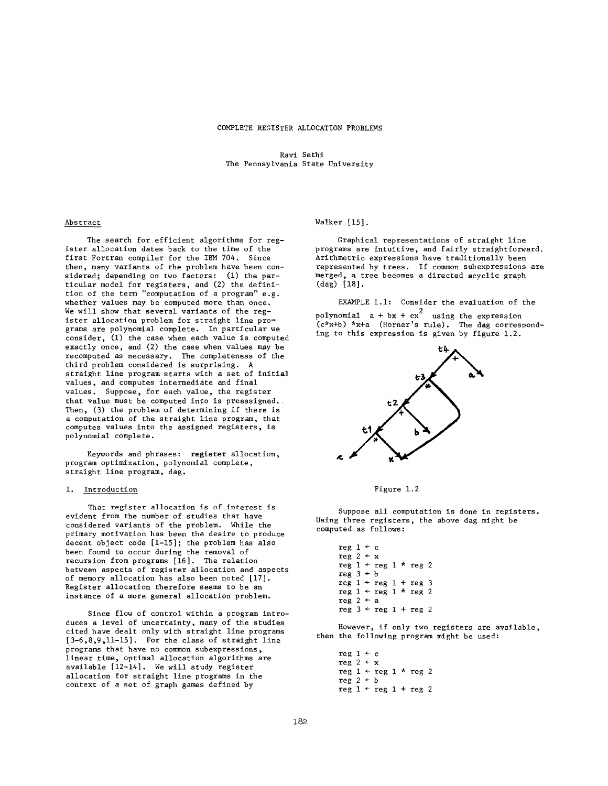Ravi Sethi The Pennsylvania State University

#### Abstract  $\frac{1}{100}$   $\frac{1}{100}$   $\frac{1}{100}$

The search for efficient algorithms for register allocation dates back to the time of the first Fortran compiler for the IBM 704. Since then, many variants of the problem have been considered; depending on two factors: (1) the par- $\frac{1}{2}$  show that show the regard variants of the reg- $\frac{1}{2}$  is the straight line problem for straight line proeron of the ferm computation of a program e.g. whether values may be computed more than once.<br>We will show that several variants of the register allocation problem for straight line programs are polynomial complete. In particular we consider,  $(1)$  the case when each value is computed exactly once, and (2) the case when values may be recomputed as necessary. The completeness of the third problem considered is surprising. A straight line program starts with a set of initial values, and computes intermediate and final values. Suppose, for each value, the register that value must be computed into is preassigned. Then, (3) the problem of determining if there is putation of the stial sine program, that computes turned into the assigned register. polynomial complete.

Keywords and phrases: register allocation,<br>program optimization, polynomial complete, straight line program, dag.

#### evident from the number of studies that have considered variants of the problem.

That register allocation is of interest is evident from the number of studies that have considered variants of the problem. While the primary motivation has been the desire to produce decent object code  $[1-15]$ ; the problem has also decent object tode [17], the problem has also Register allocation therefore seems to be an annual seems to be an annual seems to be an annual seems to be an recursion from programs  $[16]$ . The relation<br>between aspects of register allocation and aspects of memory allocation has also been noted [17].<br>Register allocation therefore seems to be an duces a level of uncertainty of the studies of the studies of the studies of the studies of the studies of the studies of the studies of the studies of the studies of the studies of the studies of the studies of the studie instance of a more general allocation propiem.

Since flow of control within a program introprograms that the control within a program. duces a rever of uncertainty, many of the sedar cited have dealt only with straight line programs  $[3-6,8,9,11-15]$ . For the class of straight line  $\left[3\right]$  allocation for the error of other straight in the straight in the straight in the straight in the straight in the straight in the straight in the straight in the straight in the straight in the straight in the s programs that have no common suberpressions available [12-14]. We will study register allocation for straight line programs in the context of a set of graph games defined by

#### Walker [15].  $\sum_{i=1}^{n}$

Graphical representations of straight line programs are intuitive, and fairly straightforward. Arithmetric expressions have traditionally been represented by trees. If common subexpressions are<br>merged, a tree becomes a directed acyclic graph  $\text{(dag)} [18].$ 

EXAMPLE  $1.1:$  Consider the evaluation of the polynomial  $a + bx + cx^2$  using the expression<br>(c\*x+b) \*x+a (Horner's rule). The dag corresponding to this expression is given by figure 1.2.



Figure 1.2

Suppose all computation is done in registers.<br>Using three registers, the above dag might be جدة توجه بيان.<br>1-1 -- - 1 دول  $\frac{1}{2}$   $\frac{1}{2}$   $\frac{1}{2}$   $\frac{1}{2}$   $\frac{1}{2}$   $\frac{1}{2}$ 

| $\text{reg } 1 \leftarrow c$ |  |                                         |  |  |
|------------------------------|--|-----------------------------------------|--|--|
| reg $2 + x$                  |  |                                         |  |  |
|                              |  | reg $1 + \text{reg } 1 * \text{reg } 2$ |  |  |
| reg $3 + b$                  |  |                                         |  |  |
|                              |  | $reg 1 + reg 1 + reg 3$                 |  |  |
|                              |  | reg $1 + \text{reg } 1 * \text{reg } 2$ |  |  |
| reg $2 + a$                  |  |                                         |  |  |
|                              |  | reg $3 + \text{reg } 1 + \text{reg } 2$ |  |  |

reg i ÷ c  $\frac{1}{2}$ then the following program might be used:

reg  $1 + c$ reg  $2 + x$ reg  $1 + reg 1 * reg 2$  $reg\stackrel{0}{2}+b$ reg  $1 + \text{reg } 1 + \text{reg } 2$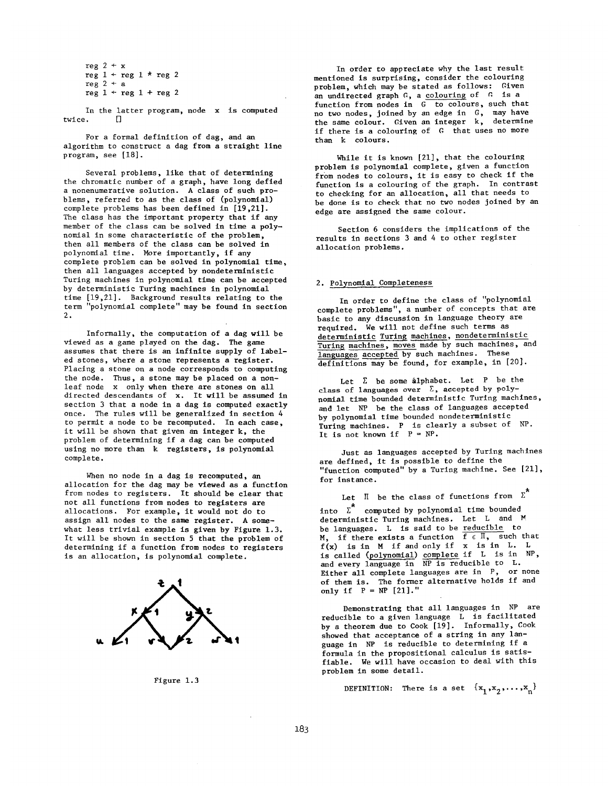reg  $2 + x$ reg  $1 + \text{reg } 1 * \text{reg } 2$  $reg 2 + a$  $reg 1 + reg 1 + reg 2$ 

In the latter program, node x is computed  $r e$ ,  $\Box$ 

For a formal definition of dag, and an algorithm to construct a dag from a straight line program, see [18].

Several problems, like that of determining the chromatic number of a graph, have long defied a nonenumerative solution. A class of such problems, referred to as the class of (polynomial) complete problems has been defined in [19.21]. The class has the important property that if any member of the class can be solved in time a polynomial in some characteristic of the problem, then all members of the class can be solved in polynomial time. More importantly, if any complete problem can be solved in polynomial time, then all languages accepted by nondeterministic Turing machines in polynomial time can be accepted by deterministic Turing machines in polynomial time [19,21]. Background results relating to the term "polynomial complete" may be found in section  $2.5$ 

Informally, the computation of a dag will be viewed as a game played on the dag. The game assumes that there is an infinite supply of labeled stones, where a stone represents a register. Placing a stone on a node corresponds to computing the node. Thus, a stone may be placed on a nonleaf node x only when there are stones on all directed descendants of x. It will be assumed in section 3 that a node in a dag is computed exactly once. The rules will be generalized in section 4 to permit a node to be recomputed. In each case, it will be shown that given an integer k, the problem of determining if a dag can be computed using no more than k registers, is polynomial complete.

viewed as a game played on the dag. The game played on the game played on the game played on the game played o

When no node in a dag is recomputed, an allocation for the dag may be viewed as a function from nodes to registers. It should be clear that not all functions from nodes to registers are allocations. For example, it would not do to assign all nodes to the same register. A somewhat less trivial example is given by Figure 1.3. It will be shown in section 5 that the problem of determining if a function from nodes to registers is an allocation, is polynomial complete.



Figure 1.3

In order to appreciate why the last result mentioned is surprising, consider the colouring problem, which may be stated as follows: Given an undirected graph  $G$ , a colouring of  $G$  is a function from nodes in  $G$  to colours, such that no two nodes, joined by an edge in G, may have the same colour. Given an integer k, determine if there is a colouring of G that uses no more than k colours.

While it is known  $[21]$ , that the colouring problem is polynomial complete, given a function from nodes to colours, it is easy to check if the function is a colouring of the graph. In contrast to checking for an allocation, all that needs to be done is to check that no two nodes joined by an edge are assigned the same colour.

Section 6 considers the implications of the results in sections 3 and 4 to other register allocation problems.

#### 2. Polynomial Completeness complete problems  $\sim$  and concepts that are problems that are problems that are problems that are problems to

In order to define the class of "polynomial complete problems", a number of concepts that are basic to any discussion in language theory are required. We will not define such terms as deterministic Turing machines, nondeterministic Turing machines, moves made by such machines, and  $\frac{1}{2}$  initians may be found, for example, in  $\left[2\right]$ class of languages over Z, accepted by poly-

Let  $\Sigma$  be some alphabet. Let P be the class of languages over  $\Sigma$ , accepted by polynomial time bounded deterministic Turing machines, and let NP be the class of languages accepted by polynomial time bounded nondeterministic Turing machines. P is clearly a subset of NP.  $j$ g not known if  $P = NP$ .

Just as languages accepted by Turing machines are defined, it is possible to define the<br>"function computed" by a Turing machine. See [21], for instance.

into Z computed by polynomial time bounded Let it be the class of functions from into  $\overline{\Sigma}^*$  computed by polynomial time bounded deterministic Turing machines. Let L and M be languages. L is said to be reducible to M if there exists a function  $f \in \mathbb{I}$ , such the  $f(x)$  is in M if and only if x is in L. is called (polynomial) complete if L is in N and every language in  $\overline{NP}$  is reducible to L. Either all complete languages are in P, or none of them is. The former alternative holds if and only if  $P = NP$  [21]."

Demonstrating that all languages in NP are reducible to a given language L is facilitated by a theorem due to Cook [19]. Informally, Cook showed that acceptance of a string in any language in NP is reducible to determining if a formula in the propositional calculus is satisfiable. We will have occasion to deal with this<br>problem in some detail.

reducible to a given language L is facilitated

DEFINITION: There is a set  $\{x_1, x_2, \ldots, x_n\}$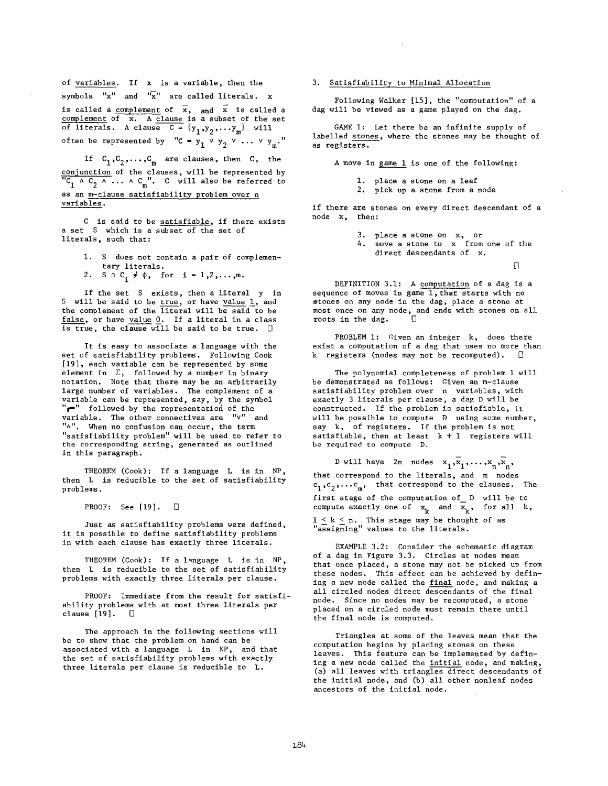of variables. If x is a variable, then the

symbols "x" and "x" are called literals. x

**is** called a complement of x, and x is called a  $m$  and  $m$  of  $\overline{x}$ . A clause is a subset of the set  $\overline{c}$  literals. A clause  $C = \{y, y, \ldots, y\}$  will often be represented by "C =  $y_1 \vee y_2 \vee \dots \vee y_m$ ."

If  $C_1, C_2, \ldots, C_m$  are clauses, then C, the conjunction of the clauses, will be represented by  $X \wedge C \wedge \ldots \wedge C$  ". C will also be referred to as an m~clause satisfiability problem over n variables.

is said to be satisfiable, if there exists  $\cot S$  which is a subset of the set of literals, such that:

- 1. S does not contain a pair of complementary literals.
- $S \cap C_i \neq \emptyset$ , for  $i = 1, 2, ..., m$ .

If the set S exists, then a literal y in S will be said to be true, or have value  $1$ , and the complement of the literal will be said to be false, or have value 0. If a literal in a class is true, the clause will be said to be true.  $\square$ 

It is easy to associate a language with the set of satisfiability problems. Following Cook [19], each variable can be represented by some element in  $\Sigma$ , followed by a number in binary notation. Note that there may be an arbitrarily large number of variables. The complement of a variable can be represented, say, by the symbol "<sup>"</sup> followed by the representation of the variable. The other connectives are "v" and "^". When no confusion can occur, the term "satisfiability problem" will be used to refer to the corresponding string, generated as outlined in this paragraph.

THEOREM (Cook): If a language L is in NP, then L is reducible to the set of satisfiability problems.

PROOF: See [19].  $\Box$ 

Just as satisfiability problems were defined, it is possible to define satisfiability problems in with each clause has exactly three literals.

THEOREM (Cook): If a language L is in NP, then L is reducible to the set of satisfiability problems with exactly three literals per clause.

PROOF: Immediate from the result for satisfiability problems with at most three literals per clause  $[19]$ .  $\Box$ 

The approach in the following sections will be to show that the problem on hand can be associated with a language L in NP, and that the set of satisfiability problems with exactly three literals per clause is reducible to L.

# 3. Satisfiability to Minimal Allocation

Following Walker [15], the "computation" of a dag will be viewed as a game played on the dag.

GAME 1: Let there be an infinite supply of labelled stones, where the stones may be thought of as registers.

A move in game 1 is one of the following:

i. place a stone on a leaf

2. pick up a stone from a node

if there are stones on every direct descendant of a node x, then:

3. place a stone on x, or

4. move a stone to x from one of the direct descendants of x.

n

DEFINITION 3.1: A computation of a dag is a sequence of moves in game 1, that starts with no stones on any node in the dag, place a stone at most once on any node, and ends with stones on all  $\overline{D}$  ots in the dag.  $\overline{D}$ 

PROBLEM I: Given an integer k, does there exist a computation of a dag that uses no more than k registers (nodes may not be recomputed).

The polynomial completeness of problem 1 will be demonstrated as follows: Given an m-clause satisfiability problem over n variables, with exactly 3 literals per clause, a dag D will be constructed. If the problem is satisfiable, it will be possible to compute D using some number, say k, of registers. If the problem is not satisfiable, then at least  $k + 1$  registers will be required to compute D.

D will have 2n nodes  $x_1,\overline{x}_1,\ldots,x_n,\overline{x}_n$ , at correspond to the literals, and m nodes Cl,C2,...Cm, that correspond to the clauses. The first stage of the computation of D will be to mpute exactly one of  $x$  and  $\overline{x}$ , for all k,  $\zeta$   $k \leq n$  This stage may be thought of as ecioning" values to the literals.

EXAMPLE 3.2: Consider the schematic diagram of a dag in Figure 3.3. Circles at nodes mean that once placed, a stone may not be picked up from these nodes. This effect can be achieved by defining a new node called the final node, and making a all circled nodes direct descendants of the final node. Since no nodes may be recomputed, a stone placed on a circled node must remain there until the final node is computed.

Triangles at some of the leaves mean that the computation begins by placing stones on these leaves. This feature can be implemented by defining a new node called the initial node, and making, (a) all leaves with triangles direct descendants of the initial node, and (b) all other nonleaf nodes ancestors of the initial node.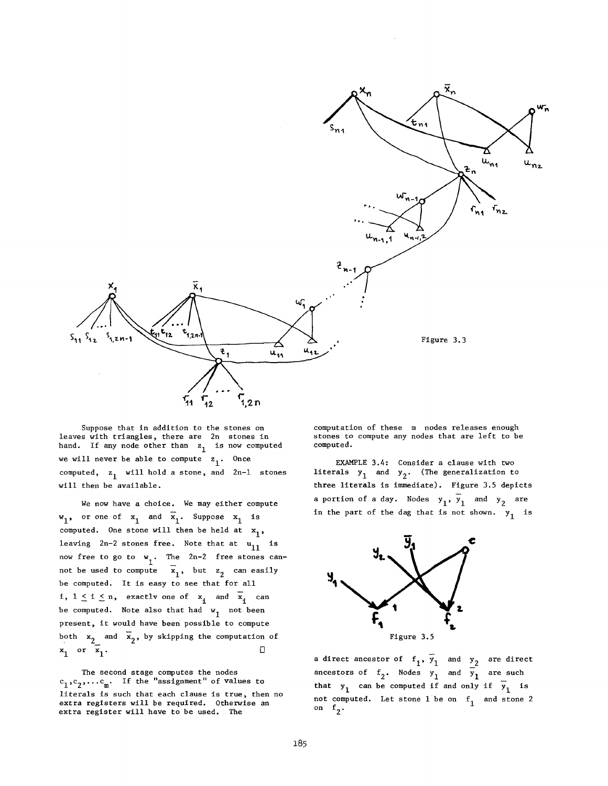

Suppose that in addition to the stones on leaves with triangles, there are 2n stones in hand. If any node other than  $z_1$  is now computed we will never be able to compute  $z_1$ . Once computed,  $z_1$  will hold a stone, and 2n-1 stones will then be available.

We now have a choice. We may either compute  $w_1$ , or one of  $x_1$  and  $\overline{x}_1$ . Suppose  $x_1$  is computed. One stone will then be held at  $x_1$ , leaving  $2n-2$  stones free. Note that at  $u_{11}$  is now free to go to  $w_1$ . The  $2n-2$  free stones cani not be used to compute  $\mathbf{x}_1$ , but  $\mathbf{z}_2$  can easily be computed. It is easy to see that for all i,  $1 \le i \le n$ , exactly one of  $x_i$  and  $\overline{x}_i$  can be computed. Note also that had  $w_1$  not been present, it would have been possible to compute both  $x_2$  and  $\overline{x}_2$ , by skipping the computation of  $x_1$  or  $\overline{x}_1$ .

The second stage computes the nodes  $c_1,c_2,\ldots c_m$ . If the "assignment" of values to literals is such that each clause is true, then no extra registers will be required. Otherwise an extra register will have to be used. The

computation of these m nodes releases enough stones to compute any nodes that are left to be computed.

EXAMPLE 3.4: Consider a clause with two literals  $y_1$  and  $y_2$ . (The generalization to three literals is immediate). Figure 3.5 depicts a portion of a day. Nodes  $y_1$ ,  $y_1$  and  $y_2$  are in the part of the dag that is not shown.  $y_1$  is



a direct ancestor of  $f_1$ ,  $\overline{y}_1$  and  $y_2$  are direct ancestors of  $f_2$ . Nodes  $y_1$  and  $\overline{y}_1$  are such that  $y_1$  can be computed if and only if  $\overline{y}_1$  is not computed. Let stone 1 be on  $f_1$  and stone 2 on  $f_2$ .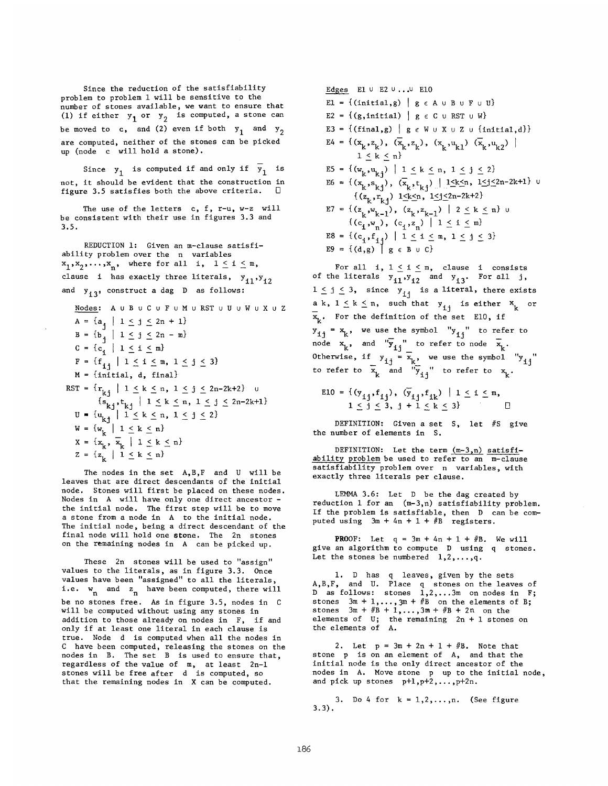Since the reduction of the satisfiability problem to problem 1 will be sensitive to the number of stones available, we want to ensure that (1) if either  $y_1$  or  $y_2$  is computed, a stone can be moved to c, and (2) even if both  $y_1$  and  $y_2$ are computed, neither of the stones can be picked up (node c will hold a stone).

Since  $y_1$  is computed if and only if  $\overline{y}_1$  is not, it should be evident that the construction in figure 3.5 satisfies both the above criteria.

The use of the letters c, f, r-u, w-z will be consistent with their use in figures 3.3 and 3.5.

REDUCTION I: Given an m-clause satisfiability problem over the n variables  $x_1, x_2, \ldots, x_n$ , where for all i,  $1 \leq i \leq m$ , clause i has exactly three literals,  $y_{11}$ ,  $y_{12}$ and  $y_{13}$ , construct a dag D as follows: Nodes: A u B u C u F u M u RST u U u W u X u Z

A =  $\{a_{i} \mid 1 \leq j \leq 2n + 1\}$  $B = \{b \begin{matrix} 1 \\ 1 \end{matrix} \mid 1 \leq j \leq 2n - m\}$  $C = \{c_i \mid 1 \leq i \leq m\}$  $F = \{f_{i,j} \mid 1 \leq i \leq m, 1 \leq j \leq 3\}$  $M = \{initial, d, final\}$ RST =  $\{r_{k,j} \mid 1 \le k \le n, 1 \le j \le 2n-2k+2\}$  u  $\{s_{n+1}, t_{n+1} \mid 1 \leq k \leq n, 1 \leq i \leq 2n-2k+\}$  $\text{U} = \{u \mid 1 \leq k \leq n, 1 \leq i \leq n\}$  $W = \{w \mid 1 \leq k \leq n$  $X = \{x, \overline{x} \mid 1 \leq k \leq n\}$  $Z = \{z_1 \mid 1 \le k \le n\}$ 

The nodes in the set  $A, B, F$  and U will be leaves that are direct descendants of the initial node. Stones will first be placed on these nodes. Nodes in A will have only one direct ancestor the initial node. The first step will be to move a stone from a node in A to the initial node. The initial node, being a direct descendant of the final node will hold one stone. The 2n stones on the remaining nodes in A can be picked up.

These 2n stones will be used to "assign" values to the literals, as in figure 3.3. Once values have been "assigned" to all the literals, i.e.  $w_n$  and  $z_n$  have been computed, there will be no stones free. As in figure 3.5, nodes in will be computed without using any stones in addition to those already on nodes in F, if and only if at least one literal in each clause is true. Node d is computed when all the nodes in C have been computed, releasing the stones on the nodes in  $B$ . The set  $B$  is used to ensure the regardless of the value of m, at least 2n-I stones will be free after d is computed, so that the remaining nodes in X can be computed.

Edges E1  $\cup$  E2  $\cup$ ... $\cup$  E10 E1 = { $(\text{initial}, g)$  |  $g \in A \cup B \cup F \cup U$ } E2 =  $\{(g, initial) | g \in C \cup RST \cup W\}$ E3 = { $(final,g)$  | g  $\in$  W  $\cup$  X  $\cup$  Z  $\cup$  {initial,d}}  $E4 = \{ (x_k, z_k), (x_k, z_k), (x_k, u_{k1}) (x_k, u_{k2}) \}$  $1 \leq k \leq n$ E5 = {( $w_k$ , $u_{k,j}$ ) | 1  $\leq k \leq n$ , 1  $\leq j \leq 2$ }  $E6 = \{(\mathbf{x}_k, \mathbf{s}_{k,j}), (\mathbf{x}_k, \mathbf{t}_{k,j}) \mid 1 \leq k \leq n, 1 \leq j \leq 2n-2k+1\}$  u  $\{(\mathbf{z}_k, \mathbf{r}_{k_1}) \mid 1 \le k \le n, \quad 1 \le j \le 2n-2k+2\}$ E7 = { $(z_k, w_{k-1})$ ,  $(z_k, z_{k-1})$  | 2  $\leq k \leq n$ } u  $\{(c_i, w_n), (c_i, z_n) \mid 1 \leq i \leq m\}$ E8 = { $(c_i, f_{ij})$  |  $1 \le i \le m$ ,  $1 \le j \le 3$ }  $E9 = \{ (d, g) \mid g \in B \cup C \}$ 

For all  $i, 1 \leq i \leq m$ , clause i consisted of the literals y .v and y., For all  $1 \leq j \leq 3$ , since  $y_{1j}$  is a literal, there exists a k,  $1 \le k \le n$ , such that  $y_{1j}$  is either  $x_{k}$  or  $\overline{\mathbf{x}}_k$ . For the definition of the set E10, if  $y_{i,j} = x_k$ , we use the symbol " $y_{i,j}$ " to refer to node  $x$ , and " $\overline{v}$ " to refer to node  $\overline{y}$ Otherwise, if  $y = \overline{x}$ , we use the symbol "y to refer to  $\bar{x}$  and  $\bar{y}$  "to refer to x

El0 = {(Yij,fij )' (~ij'fik) I i < i < m, I i J ~ 3, j + i < k < 3} D 

DEFINITION: Given a set S, let #S give the number of elements in S.

DEFINITION: Let the term  $(m-3,n)$  satisfiability problem be used to refer to an m-clause satisfiability problem over n variables, with exactly three literals per clause.

LEMMA 3.6: Let D be the dag created by reduction 1 for an (m-3,n) satisfiability problem. If the problem is satisfiable, then D can be computed using  $3m + 4n + 1 + iB$  registers.

**PROOF:** Let  $q = 3m + 4n + 1 + 4B$ . We will give an algorithm to compute D using q stones. Let the stones be numbered  $1, 2, ..., q$ .

i. D has q leaves, given by the sets A,B,F, and U. Place q stones on the leaves of D as follows: stones  $1, 2, \ldots$  3m on nodes in F; stones  $3m + 1$ ,  $2m + \sqrt{k}$  on the elements of stones  $3m + \sqrt[3]{R} + 1$ ,  $3m + \sqrt[3]{R} + 2n$  on the elements of  $\mathbb{U}$ ; the remaining  $2n + 1$  stones the elements of

2. Let  $p = 3m + 2n + 1 + 4R$ . Note that stone p is on an element of  $A$ , and that the initial node is the only direct ancestor of the nodes in A. Move stone p up to the initial node, and pick up stones p+l,p+2,...,p+2n.

3. Do 4 for  $k = 1, 2, ..., n$ . (See figure 3.3).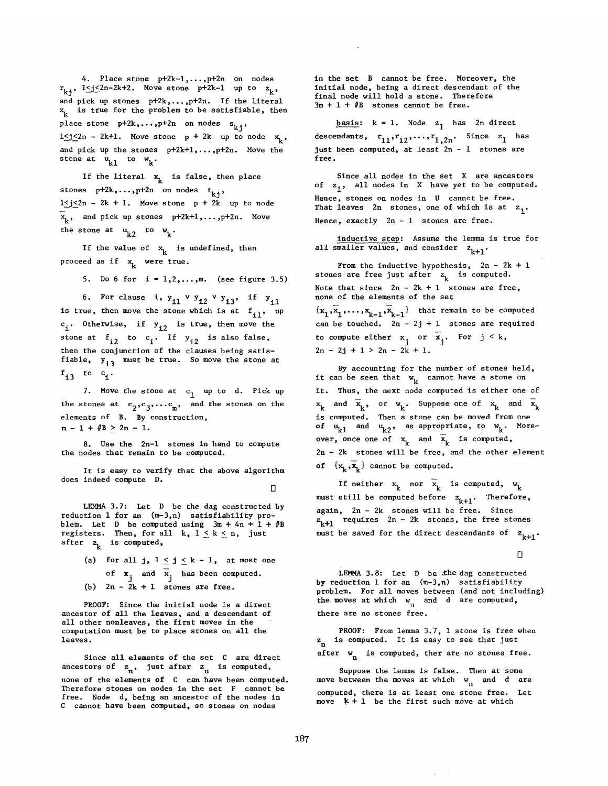$\frac{1}{2}$  and  $\frac{1}{2}$  is the literal pick up stones p+2n. If the literal pick  $\frac{1}{2}$  $k_j$  is true for the problem to be satisfiable, then the problem then the satisfiable, then the satisfiable, then the satisfiable,  $k$ ,  $k$ and pick up stones  $p+2k, ..., p+2n$ . If the literal  $x_k$  is true for the problem to be satisfiable, then place stone  $p+2k, \ldots, p+2n$  on nodes  $s_{k,j}$ ,  $\alpha$ stone at Ukl to w k. stone at  $u_{k1}$  to  $w_k$ .

If the literal  $x_k$  is false, then place stones  $p+2k, \ldots, p+2n$  on nodes  $t_{k+1}$ ,  $1 \leq j \leq 2n - 2k + 1$ . Move stone  $p + 2k$  up to node  $x_k$ , and pick up stones p+2k+1,..., p+2n. Move the stone at  $u_{k2}$  to  $w_k$ .

If the value of  $x_k$  is undefined, then proceed as if  $x_k$  were true.

5. Do 6 for  $i = 1, 2, ..., m$ . (see figure 3.5)

6. For clause i,  $y_{i1} \vee y_{i2} \vee y_{i3}$ , if  $y_{i1}$ is true, then move the stone which is at  $f_{11}$ , up  $c_i$ . Otherwise, if  $y_{i2}$  is true, then move the  $\frac{1}{\sqrt{2}}$  then the conjunction of the conjunction of the conjunction of the conjunction of the conjunction of the conjunction of the conjunction of the conjunction of the conjunction of the conjunction of the conjuncti  $f_1$   $f_2$  must be the store at  $f_1$   $f_2$  must be the store store at  $f_1$ then the conjunction of the clauses being satis-<br>fiable,  $y_{i3}$  must be true. So move the stone at  $f_{i3}$  to  $c_{i}$ .

7. Move the stone at  $c_1$  up to d. Pick up the stones at  $c_2, c_3, \ldots c_m$ , and the stones on the elements of B. By construction,  $m - 1 + iB \ge 2n - 1$ .

8. Use the 2n-1 stones in hand to compute the nodes that remain to be computed.

It is easy to verify that the above algorithm does indeed compute D.

Let  $\Box$  3.7: Let  $\Box$  be the dag constructed by the dag constructed by the dag constructed by the dag constructed by  $\Box$ 

LEMMA  $3.7$ : Let D be the dag constructed by reduction 1 for an  $(m-3,n)$  satisfiability proiem. Let D be comput  $z$ , is computed,  $z$ 

for all j,  $1 \leq j \leq k-1$ , at most c of  $x_j$  and  $\overline{x}_j$  has been computed. (b)  $2n - 2k + 1$  stones are free.

PROOF: Since the initial node is a direct ancestor of all the leaves, and a descendant of all other nonleaves, the first moves in the computation must be to place stones on all the Since all elements of the set C are directed and the set C are directed as a set C are directed as  $\sim$ 

none of the elements of C can have been computed.  $T_n$ , such  $\sum_{n=1}^{\infty}$  is compared, none of the elements of C can have been computed. Therefore stones on nodes in the set F cannot be free. Node d, being an ancestor of the nodes in C cannot have been computed, so stones on nodes

in the set B cannot be free. Moreover, the initial node, being a direct descendant of the final node will hold a stone. Therefore  $3m + 1 + iB$  stones cannot be free.

**basis:**  $k = 1$ . Node  $z_1$  has 2n direct just been computed, at least 2n - i stones are free. just been computed, at least 2n - 1 stones are free.

 $\mathbf{f}$  stores on  $\mathbf{f}$  stores on  $\mathbf{f}$  stores on  $\mathbf{f}$  and  $\mathbf{f}$  and  $\mathbf{f}$  are free.  $T_1$ , and which is at  $T_2$  stores, one of  $T_1$ . Hence, stones on nodes in U cannot be free.<br>That leaves 2n stones, one of which is at z<sub>1</sub>. Hence, exactly  $2n - 1$  stones are free.

all smaller values, and consider  $z_{k+1}$ .

Note that since 2nd and the single choice 2, 1 stones are free, 1 stones are free, 1 stones are free, 1 stones none of the set  $\mathbf{s}$  the set the set  $\mathbf{s}$ Note that since  $2n - 2k + 1$  stones are free, none of the elements of the set

 $\{\mathbf x_1, \mathbf x_1, \ldots, \mathbf x_{k-1}, \mathbf x_{k-1}\}$  that remain to be computed can be touched.  $2n - 2j + 1$  stones are req to compute either  $x_j$  or  $\overline{x}_j$ . For  $j \le k$ ,  $2n - 2j + 1 > 2n - 2k + 1.$ 

By accounting for the number of stones held, it can be seen that  $w_k$  cannot have a stone on it. Thus, the next node computed is either one of is computed. The moved from  $\sigma$  store can be moved from one of  $\sigma$ k k<sup>2</sup> k. <sup>II</sup> k. K is computed. Then a stone can be moved from one<br>of  $u_{k1}$  and  $u_{k2}$ , as appropriate, to  $w_k$ . Moreover, once one of  $x_k$  and  $\overline{x}_k$  is computed,  $2n - 2k$  stones will be free, and the other element of  $\{x_k, \overline{x}_k\}$  cannot be computed.

If neither  $x_k$  nor  $\overline{x}_k$  is computed,  $w_k$ again, 2n - 2k stones will be free. Since  $\mathbb{R}$  -  $\mathbb{R}$  -  $\mathbb{R}$  -  $\mathbb{R}$  -  $\mathbb{R}$  -  $\mathbb{R}$  -  $\mathbb{R}$  -  $\mathbb{R}$  -  $\mathbb{R}$  -  $\mathbb{R}$  -  $\mathbb{R}$  -  $\mathbb{R}$  -  $\mathbb{R}$  -  $\mathbb{R}$  -  $\mathbb{R}$  -  $\mathbb{R}$  -  $\mathbb{R}$  -  $\mathbb{R}$  -  $\mathbb{R}$  -  $\mathbb{R}$  again,  $2n - 2k$  stones will be free. Since<br> $z_{k+1}$  requires  $2n - 2k$  stones, the free stones must be saved for the direct descendants of  $z_{k+1}$ .

LEMMA 3.8: Let D be ~he dag constructed

LEMMA 3.8: Let  $D$  be the dag constructed by reduction 1 for an  $(m-3,n)$  satisfiability<br>problem. For all moves between (and not including) the moves at which  $w_n$  and d are computed, there are no stones free.

by reduction in for an (m-3,n) satisfability  $\mathcal{L}^{\mathcal{A}}$  and  $\mathcal{L}^{\mathcal{A}}$ 

PROOF: From lemma 3.7, 1 stone is free when  $z_n$  is computed. It is easy to see that just w is computed, ther are no stones free

moves at which we need the moves at which was at which was at which was at which was at which was at which was

computed, the internal computed, there is a letter from  $\frac{1}{2}$ move been end moves at which  $\sum_{n=1}^{\infty}$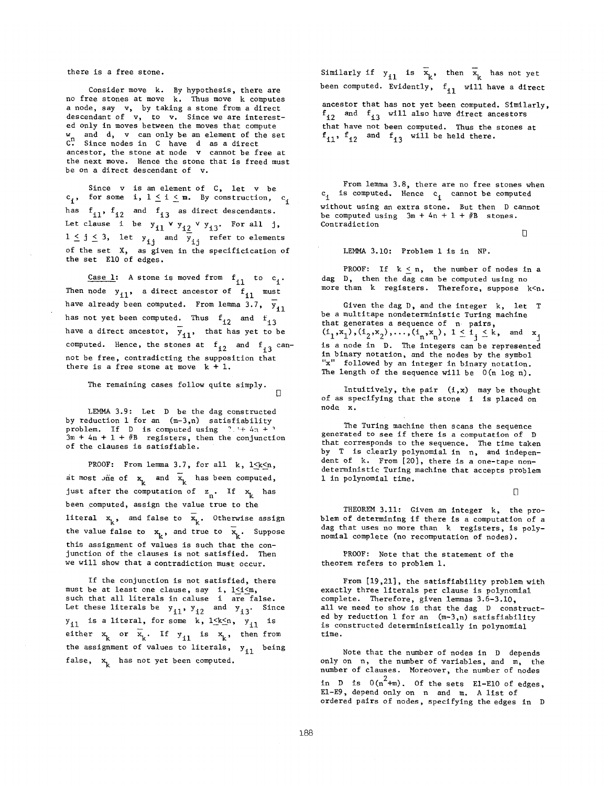## there is a free stone.

Consider move, k. By hypothesis, there are no free stones at move  $k$ . Thus move  $k$  computes ed node, say ty, hy taking a stone from a direct descendant of  $v$ , to  $v$ . Since we are interested only in moves between the moves that compute  $\omega$  and d, y can only be an element of the set  $\mathcal{C}^{\prime\prime}$ . Since nodes in C have d as a direct ancestor, the stone at node v cannot be free at the next move. Hence the stone that is freed must be on a direct descendant of v.

Since v is an element of C, let v be  $c_i$ , for some i,  $1 \le i \le m$ . By construction,  $c_i$ has  $f_{i1}$ ,  $f_{i2}$  and  $f_{i3}$  as direct descendants. i je je i stal y stal i stal i stal i stal i stal i stal i stal i stal i stal i stal i stal i stal i stal i st<br>Diskografija of the set  $\frac{1}{2}$  as given in the specific  $\frac{1}{2}$  and  $\frac{1}{2}$  as given in the specific  $\frac{1}{2}$  $1 \le j \le 3$ , let  $y_{1j}$  and  $y_{1j}$  refer to elements of the set X, as given in the specificication of the set E10 of edges.

Case 1: A stone is moved from  $f_{i1}$  to  $c_i$ . Then node  $y_{i1}$ , a direct ancestor of  $f_{i1}$  must have already been computed. From lemma 3.7,  $\overline{y}_{11}$ has not yet been computed. Thus  $f_{12}$  and  $f_{13}$ have a direct ancestor,  $\overline{y}_{i1}$ , that has yet to be not be free, contradicting the supposition that computed. Hence, the stones at  $\frac{1}{12}$ not be free, contradicting the supposition that<br>there is a free stone at move  $k + 1$ .

The remaining cases follow quite simply.  $\mathbb{R}$ 

LEMMA 3.9: Let D be the dag constructed by reduction 1 for an  $(m-3,n)$  satisfiability problem. If D is computed using  $? + 4n + 1$  $2m + 4n + 1 + iB$  registers, then the conjunction of the clauses is satisfiable.

PROOF: From lemma 3.7, for all  $k$ ,  $1 \leq k \leq n$ , just after the computation of z n. If ~k has between computed, assign the value to the value to the value to the value to the value to the value to the value to the value of  $\kappa$ just after the computation of  $z_n$ . If  $x_k$  has<br>been computed, assign the value true to the the value false to  $\alpha$  and true to  $\alpha$  and true to  $\alpha$ this assignment of values is such that the conthe value false to  $x_k$ , and true to  $\overline{x}_k$ . Suppose this assignment of values is such that the conjunction of the clauses is not satisfied. Then we will show that a contradiction must occur.

If the conjunction is not satisfied, there must be at least one clause, say i,  $1 \le i \le m$ , such that all literals in caluse 1 are false.<br>Let these literals be  $y_{i1}$ ,  $y_{i2}$  and  $y_{i3}$ . Since  $y_{i1}$  is a literal, for some k,  $1 \le k \le n$ ,  $y_{i1}$  is the assignment of values to literals, Yil being false, x k has not yet been computed. false,  $x_k$  has not yet been computed.

Similarly if  $y_{i1}$  is  $\bar{x}_k$ , then  $\bar{x}_k$  has not yet een computed. Evidently, f will have a direct fize and fize  $\mathbf{r}$  and fize  $\mathbf{r}$ ancestor that has not yet been computed. Similarly,  $f_{12}$  and  $f_{13}$  will also have direct ancestors<br>that have not been computed. Thus the stones at<br> $f_{11}$ ,  $f_{12}$  and  $f_{13}$  will be held there.

riom remma 3.0, there are no free stones when  $c_i$  is computed, nence  $c_i$  cannot be computed. without using an extra stone. But then D cannot be computed using  $3m + 4n + 1 + 4B$  stones. Contradiction

 $\Box$ 

LEMMA  $3.10$ : Problem 1 is in NP.

PROOF: If  $k < n$ , the number of nodes in a dag D, then the dag can be computed using no<br>more than k registers. Therefore, suppose  $k \le n$ .

Given the dag  $D$ , and the integer  $k$ , let T be a multitape nondeterministic Turing machine  $\frac{1}{2}$  and  $\frac{1}{2}$  are sequence of  $\frac{1}{2}$  parts,  $\binom{n}{1}$ ,  $\binom{n}{2}$ ,  $\binom{n}{2}$ ,  $\ldots$ ,  $\binom{n}{n}$ ,  $\binom{n}{n}$ ,  $\vdash \succeq \bot_1 \succeq \kappa$ , and 2 is a node in D. The integers can be represented in binary notation, and the nodes by the symbol "x" followed by an integer in binary notation.<br>The length of the sequence will be  $0(n \log n)$ . of as specifying that the stochastic that the stochastic interaction is placed on the stochastic interaction on  $\mathcal{L}_\text{c}$ 

Intuitively, the pair  $(i, x)$  may be thought of as specifying that the stone i is placed on  $\mathbf x$ . generated to see if there is a computation of D

The Turing machine then scans the sequence generated to see if there is a computation of D that corresponds to the sequence. The time taken by T is clearly polynomial in n, and independent of k. From [20], there is a one-tape nondeterministic Turing machine that accepts problem 1 in polynomial time.

The orientation  $\Box$ 

THEOREM 3.11: Given an integer  $k$ , the problem of determining if there is a computation of a dag that uses no more than k registers, is poly-<br>nomial complete (no recomputation of nodes).

PROOF: Note that the statement of the theorem refers to problem 1.

From [19,21], the satisfiability problem with exactly three literals per clause is polynomial complete. Therefore, given lemmas  $3.6-3.10$ , all we need to show is that the dag D constructed by reduction 1 for an  $(m-3,n)$  satisfiability is constructed deterministically in polynomial time.

Note that the number of nodes in D depends only on n, the number of variables, and m, the number of clauses. Moreover, the number of nodes in D is  $0(n^2+m)$ . Of the sets E1-E10 of edges, E1-E9, depend only on n and m. A list of ordered pairs of nodes, specifying the edges in D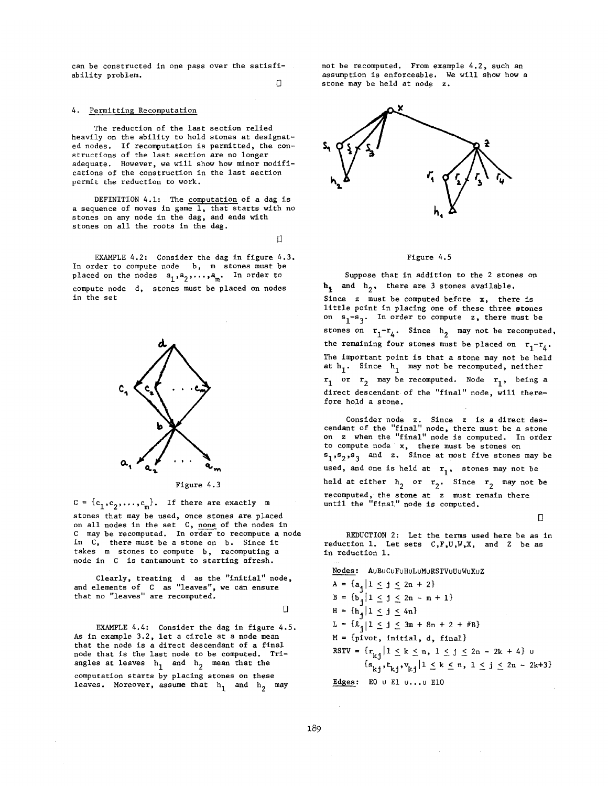can be constructed in one pass over the satisfiability problem.

 $\Box$ 

## 4. Permitting Recomputation

The reduction of the last section relied heavily on the ability to hold stones at designated nodes. If recomputation is permitted, the constructions of the last section are no longer adequate. However, we will show how minor modifications of the construction in the last section permit the reduction to work.

heavily on the ability to hold stones at designation of the ability to hold stones at designation of the abili

DEFINITION  $4.1$ : The computation of a dag is a sequence of moves in game  $\overline{1,}$  that starts with no stones on any node in the dag, and ends with stones on all the roots in the dag.

 $\Box$ 

EXAMPLE  $4.2$ : Consider the dag in figure  $4.3$ . In order to compute node  $b$ , m stones must be placed on the nodes  $a_1, a_2, \ldots, a_m$ . In order to compute node d, stones must be placed on nodes in the set



 $\mathbf{c} = \mathbf{c}_1, \mathbf{c}_2, \ldots, \mathbf{c}_m$ , it there are exactly in stones that may be used, once stones are placed on all nodes in the set C, none of the nodes in C may be recomputed. In order to recompute a node in C, there must be a stone on b. Since it takes m stones to compute b, recomputing a node in C is tantamount to starting afresh. and elements of  $C$  as  $\mathcal{C}$  as  $\mathcal{C}$  as  $\mathcal{C}$  as  $\mathcal{C}$  as  $\mathcal{C}$  as  $\mathcal{C}$  as  $\mathcal{C}$  as  $\mathcal{C}$  as  $\mathcal{C}$  as  $\mathcal{C}$  as  $\mathcal{C}$  as  $\mathcal{C}$  as  $\mathcal{C}$  as  $\mathcal{C}$  as  $\mathcal{C}$  as  $\mathcal{C}$  as  $\mathcal{C$ 

stones that may be used, once stones are placed

Clearly, treating d as the

 $\Box$ 

EXAMPLE  $4.4$ : Consider the dag in figure  $4.5$ . As in example 3.2, let a circle at a node mean that the node is a direct descendant of a final node that is the last node to be computed. Triangles at leaves  $h_1$  and  $h_2$  mean that the computation starts by placing stones on these leaves. Moreover, assume that  $h_1$  and  $h_2$  may

not be recomputed. From example 4.2, such an assumption is enforceable. We will show how a stone may be held at node z.



### Figure 4.5

Suppose that in addition to the 2 stones on  $h_1$  and  $h_2$ , there are 3 stones available. Since  $z$  must be computed before  $x$ , there is little point in placing one of these three stones<br>on  $s_1-s_3$ . In order to compute z, there must be stones on  $r_1-r_4$ . Since  $h_2$  may not be recomputed, The important point is that a store may not be held in the stone may not be held in the stone may not be held in the stock of  $\mathcal{L}$ at the remarking rout stolles must be praced on  $r_1 - r_1$ The important point is that a stone may not be held<br>at h<sub>1</sub>. Since h<sub>1</sub> may not be recomputed, neither direct descendant of the "final" node, will then the "final" node, will the  $\frac{1}{1}$  or  $\frac{1}{2}$  may be direct descendant of the "final" node, will therefore hold a stone.

Consider node  $z$ . Since  $z$  is a direct descendant of the "final" node, there must be a on z when the "final" node is computed. In order to compute node  $x$ , there must be stones on<br> $s_1, s_2, s_3$  and  $z$ . Since at most five stones may be held at either h 2 or r 2. Since r 2 may not 5e recomputed, the stone at z must remain the stone at  $\mathbf{1}$ held at either  $h_2$  or  $r_2$ . Since  $r_2$  may not be recomputed, the stone at z must remain there<br>until the "final" node is computed.

cendant of the "final" node, the "final" node, the "final" node, there must be a stone must be a stone must be

 $R = \frac{1}{2}$ 

REDUCTION 2: Let the terms used here be as in reduction 1. Let sets C, F, U, W, X, and Z be as in reduction 1.

Nodes: AuBuCuFuHuLuMuRSTVuUuWuXuZ

 $A = \{a_{i} | 1 \leq j \leq 2n + 2\}$  $B = \{b_{i} | 1 \leq j \leq 2n - m + 1\}$  $H = \{h_{j} | 1 \leq j \leq 4n \}$  $L = {\ell_i | 1 \leq j \leq 3m + 8n + 2 + \#B}$  $M = \{pivot, initial, d, final\}$ RSTV =  $\{r_{k,j} | 1 \le k \le n, 1 \le j \le 2n - 2k + 4\}$  u  $\{s_{k_1}, t_{k_1}, v_{k_1} | 1 \le k \le n, 1 \le j \le 2n - 2k+3\}$ Edges: EO  $\cup$  E1  $\cup \ldots \cup$  E10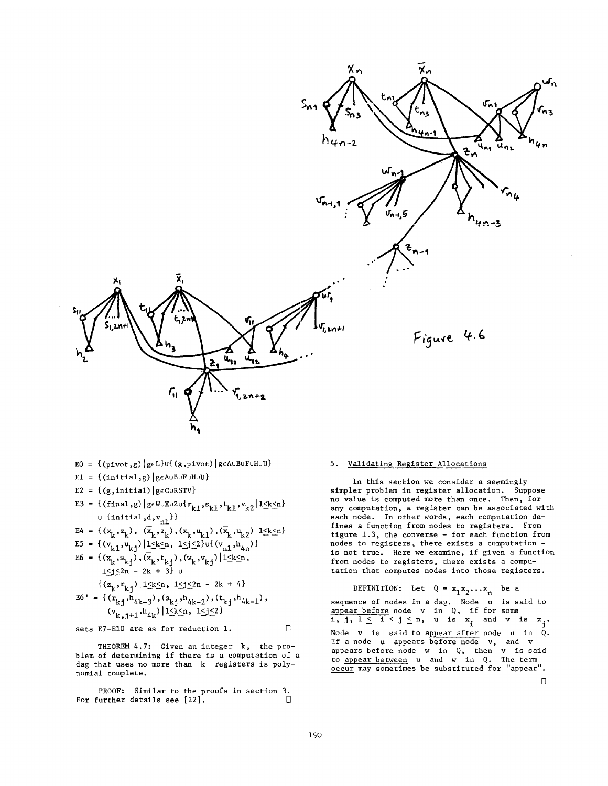

- $E0 = \{(pivot,g) | g \in L\}$ u $\{(g,pivot) | g \in A \cup B \cup F \cup H \cup U\}$
- E1 =  $\{(initial,g) | g \in A \cup B \cup F \cup H \cup U\}$
- E2 = {(g,initial) |  $g \in \text{C} \cup \text{RSTV}$ }
- $\texttt{E3 = \{(final, g) | g \in W \cup X \cup Z \cup \{r_{k1}, s_{k1}, t_{k1}, v_{k2} | l \leq k \leq n} \} }$  $\cup$  {initial,d,v<sub>nl</sub>}}

$$
E4 = \{ (x_k, z_k), (\overline{x}_k, z_k), (x_k, u_{k1}), (\overline{x}_k, u_{k2}) \} \le k \le n \}
$$

$$
ES = \{ (v_{k1}^{'}, u_{kj}) | 1 \leq k \leq n, 1 \leq j \leq 2 \} \cup \{ (v_{n1}^{'}, h_{4n}^{'}) \}
$$
  
\n
$$
EG = \{ (x_k^{'}, s_{kj}^{'}), (\overline{x}_k^{'}, t_{kj}^{'}), (w_k^{'}, v_{kj}^{'}) | 1 \leq k \leq n, \}
$$

$$
1 \leq j \leq 2n - 2k + 3
$$
  

$$
\{(z_{1}, r_{1,2}) | 1 \leq k \leq n, 1 \leq j \leq 2n - 2k + 4\}
$$

$$
E6' = \{ (r_{k1}, r_{4k-3}), (s_{k1}, r_{4k-2}), (t_{k1}, r_{4k-1}),
$$

$$
(v_{k, i+1}, h_{4k}) | 1 \le k \le n, 1 \le j \le 2
$$

 $k$ ,  $j+1$  4 $k$   $-$ <br>sets E7-E10 are as for reduction 1.

$$
f_{\rm{max}}
$$

IHEUKEM  $4.7$ : Given an integer  $K$ , the problem of determining if there is a computation of a dag that uses no more than k registers is poly-<br>nomial complete.

PROOF: SIMILAT to the proofs in section 3.

## 5. Validating Register Allocations

in this section we consider a seemingly simpler problem in register allocation. Suppose no value is computed more than once. Then, for any computation, a register can be associated with each node. In other words, each computation defines a function from nodes to registers. From figure  $1.3$ , the converse - for each function from nodes to registers, there exists a computation is not true. Here we examine, if given a function from nodes to registers, there exists a compu-<br>tation that computes nodes into those registers.

DEFINITION: Let  $Q = x_1 x_2 ... x_n$  be a  $\frac{1}{2}$  in a dag. No. 1 is said to in a dag. sequence or nodes in a dag. Node u is sa appear before node v in  $\alpha$ , if for some i, j,  $1 \leq i < j \leq n$ , u is  $x_i$  and v is  $x_j$ . Node v is said to appear after node u in  $\alpha$ . If a node u appears before node v, and v appears before node  $w$  in  $Q_2$ , then  $v$  is saf to appear between  $\mathbf u$  and  $\mathbf w$  in  $\mathbf Q$ . The term occur may sometimes be substituted for "appear".<br> $\square$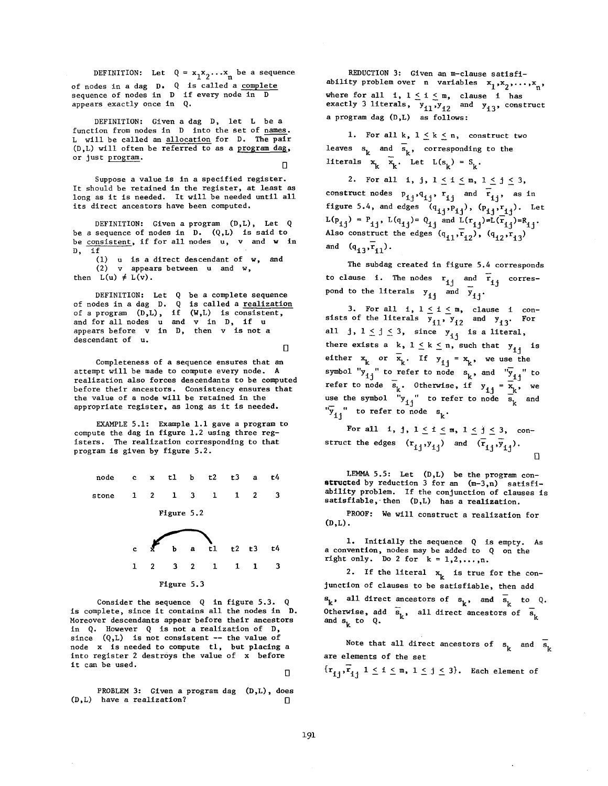DEFINITION: Let  $Q = x_1 x_2 \dots x_n$  be a sequence of nodes in a dag D. Q is called a complete sequence of nodes in  $D$  if every node in appears exactly once in  $Q$ .

DEFINITION: Given a dag D, let L be a function from nodes in D into the set of names.  $L$  will be called an allocation for  $D$ . The pair  $(D,L)$  will often be referred to as a program d or just program.

Suppose a value is in a specified register. It should be retained in the register, at least as long as it is needed. It will be needed until all its direct ancestors have been computed.

DEFINITION: Given a program  $(D,L)$ , Let Q be a sequence of nodes in  $D.$  (Q,L) is said to  $\sum_{i=1}^n$  $\frac{\text{Simplicative}}{\text{Simplicative}}$ , is not directed by  $\cdot$  and D, if<br>(1) u is a direct descendant of w, and

 $\frac{1}{2}$   $\frac{1}{2}$   $\frac{1}{2}$   $\frac{1}{2}$   $\frac{1}{2}$   $\frac{1}{2}$   $\frac{1}{2}$   $\frac{1}{2}$   $\frac{1}{2}$   $\frac{1}{2}$   $\frac{1}{2}$   $\frac{1}{2}$   $\frac{1}{2}$   $\frac{1}{2}$   $\frac{1}{2}$   $\frac{1}{2}$   $\frac{1}{2}$   $\frac{1}{2}$   $\frac{1}{2}$   $\frac{1}{2}$   $\frac{1}{2}$   $\frac{1}{2}$   $\mathbf{E}(\mathbf{u}) = \mathbf{E}(\mathbf{v})$ 

DEFINITION: Let  $Q$  be a complete sequence of a program (D,L), if (W,L) is consistent,  $\alpha$  is a set of and v in D, if  $\alpha$  is the set of  $\alpha$  $\frac{1}{2}$  is not appear v in D, then v is not appear v is not appear v is not appear v is not appear v is not appear v is not appear v is not appear v is not appear v is not appear v is not appear v is not appear v is not and for all nodes  $u$  and  $v$  in  $D$ , if  $u$  appears before  $v$  in  $D$ , then  $v$  is not a descendant of u.  $\Box$ 

Completeness of a sequence ensures that an attempt will be made to compute every node. A realization also forces descendants to be computed before their ancestors. Consistency ensures that the value of a node will be retained in the appropriate register, as long as it is needed.

EXAMPLE  $5.1$ : Example 1.1 gave a program to compute the dag in figure 1.2 using three registers. The realization corresponding to that program is given by figure 5.2.

stone i 2 1 3 i 2 3 i 2 3 i 2 3 i 2 3 i 2 3 i 2 3 i 2 3 i 2 3 i 2 3 i 2 3 i 2 3 i 2 3 i 2 3 i 2 3 i 2 3 i 2 3  $\mathbf{1}$  $\mathbf{1}$  $\mathbf{1}$  $\overline{2}$ 3 stone Figure 5.2 Figure 5.2

e b~a~l t2 t3 t4 i 2 3 2 i i I 3 Figure 5.3

Figure 5.3

Consider the sequence  $Q$  in figure 5.3.  $Q$ is complete, since it contains all the nodes in D. Moreover descendants appear before their ancestors in  $Q$ . However  $Q$  is not a realization of  $D$ , node x is needed to compute the computer that he computed the computer three computers and the contract of the  $\sum_{i=1}^{n} a_i$  $\frac{1}{2}$  it can be used.  $\ddot{\phantom{0}}$ it can be used.

PROBLEM 3: Given a program dag  $(D,L)$ , does  $(D,L)$  have a realization?

REDUCTION 3: Given an m-clause satisfiability problem over n variables  $x_1, x_2, ..., x_n$ where for all  $\pm 1 \leq \pm \leq m$  aloves  $\pm 1$  has exactly 3 literals, y, , y, , a program dag  $(D,L)$  as follows:

1. For all k,  $1 \leq k \leq n$ , construct two leaves s, and s,, correspondi  $\kappa$  is  $\kappa$  and  $\kappa$  if  $\kappa$  is  $\kappa$  in  $\kappa$  in  $\kappa$  in  $\kappa$  is  $\kappa$  in  $\kappa$  in  $\kappa$  in  $\kappa$  is  $\kappa$  in  $\kappa$  is  $\kappa$  in  $\kappa$  is  $\kappa$  in  $\kappa$  is  $\kappa$  in  $\kappa$  is  $\kappa$  in  $\kappa$  is  $\kappa$  in  $\kappa$  is  $\kappa$ 

2. For all i, j,  $1 \leq i \leq m$ ,  $1 \leq j \leq 3$ , construct nodes  $P_{i,j}, q_{i,j}$ ,  $r_{ij}$  and  $\overline{r}_{ij}$ , as in figure 5.4, and edges  $(q_{i,j}, p_{i,j})$ ,  $(p_{i,j}, r_{i,j})$ . Let  $L(p_{4,4}) = P_{4,4}$ ,  $L(q_{4,4}) = Q_{4,4}$  and  $L(r_{4,4}) = L(r_{4,4})$ Also constru and  $(q_{13}, r_{11})$ .

The subdag created in figure 5.4 corresponds to clause i. The nodes  $r_{ij}$  and  $\overline{r}_{ij}$  correspond to the literals  $y_{i,j}$  and  $\overline{y}_{i,j}$ .

 $\frac{1}{3}$  For all  $\frac{1}{3}$   $\frac{1}{3}$   $\frac{1}{3}$  and  $\frac{1}{3}$  and  $\frac{1}{3}$ sists of the literals  $y_{i,j}$ ,  $y_{j,j}$  and  $y_{j,j}$ . all j,  $1 \le j \le 3$ , since  $y_{j,j}$  is a literal, there exists a k,  $1 \le k \le n$ , such that  $y_{1j}$  is either  $x_k$  or  $\overline{x}_k$ . If  $y_{i,j} = x_k$ , we use the symbol " $y_{1i}$ " to refer to node  $s_k$ , and " $y_{1i}$ " to refer to node  $s_i$ . Otherwise, if  $y_i, y_i \geq x_i$ , use the symbol "y, " to  $\overline{y}_{11}$ " to refer to node  $s_k$ .

For all 1, j,  $1 \leq i \leq m$ ,  $1 \leq j \leq 3$ , construct the edges  $(r_{i,j}, y_{i,j})$  and  $(\overline{r}_{i,j}, \overline{y}_{i,j})$ .  $\Box$ 

LEMMA 5.5: Let  $(D,L)$  be the program conatructed by reduction 3 for an  $(m-3,n)$  satisfiability problem. If the conjunction of clauses is satisfiable, then  $(D,L)$  has a realization.

PROOF: We will construct a realization for I. I. I. In the sequence  $\mathcal{L}$  is equivalent to the sequence  $\mathcal{L}$  is equivalent to the sequence  $\mathcal{L}$ 

1. Initially the sequence  $Q$  is empty. As a convention, nodes may be added to  $Q$  on the right only. Do 2 for  $k = 1, 2, ..., n$ .

2. If the literal  $x_k$  is true for the conjunction of clauses to be satisfiable, then add  $\mathbf{s}_k$ , all direct ancestors of  $\mathbf{s}_k$ , and  $\mathbf{s}_k$  to Q. Otherwise, add  $\overline{s}_k$ , all direct ancestors of  $\overline{s}_k$ and  $s_k$  to  $Q$ .

Note that all direct ancestors of  $s_k$  and  $\overline{s}_k$ are elements of the set

 $\{r_{i,j}, r_{i,j} \mid 1 \leq i \leq m, 1 \leq j \leq 3\}$ . Each element of

П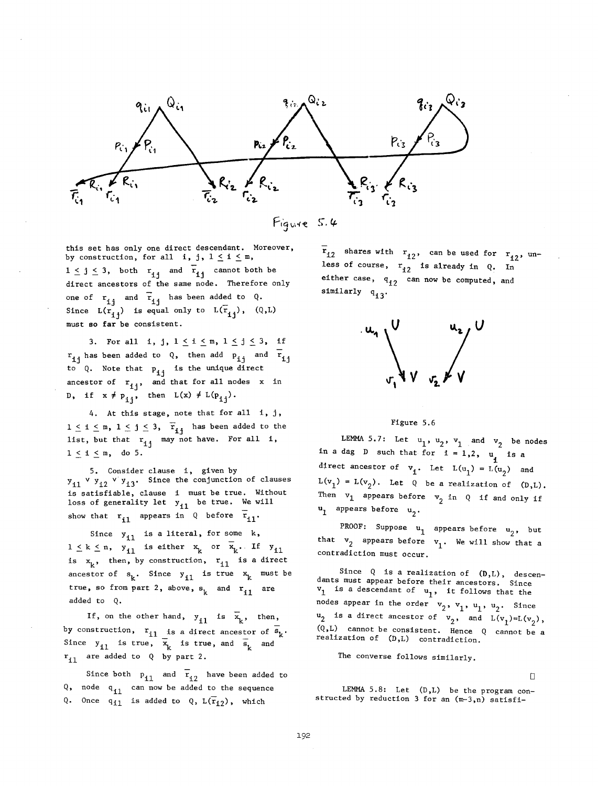



this set has only one direct descendant. Moreover, by construction, for all i, j,  $1 \leq i \leq m$ ,  $1 \leq j \leq 3$ , both  $r_{ij}$  and  $\overline{r}_{ij}$  cannot both be direct ancestors of the same node. Therefore only one of  $r_{ij}$  and  $\bar{r}_{ij}$  has been added to Q. Since  $L(r_{ij})$  is equal only to  $L(\overline{r}_{ij})$ ,  $(Q,L)$ must so far be consistent.

3. For all i, j,  $1 \le i \le m$ ,  $1 \le j \le 3$ , if  $r_{ij}$  has been added to Q, then add  $p_{ij}$  and  $\bar{r}_{ij}$ to Q. Note that  $p_{1j}$  is the unique direct ancestor of  $r_{i,j}$ , and that for all nodes x in D, if  $x \neq p_{i,j}$ , then  $L(x) \neq L(p_{i,j}).$ 

4. At this stage, note that for all i, j,  $1 \leq i \leq m$ ,  $1 \leq j \leq 3$ ,  $\overline{r}_{i,j}$  has been added to the list, but that  $r_{1j}$  may not have. For all 1,  $1 < 1 < m$ , do 5.

5. Consider clause i, given by  $y_{11}$  v  $y_{12}$  v  $y_{13}$ . Since the conjunction of clauses satisfiable, clause i must be true. Without ss of generality let y., be true. We will show that  $r_{i1}$  appears in Q before  $r_{i1}$ .

Since  $y_{i1}$  is a literal, for some k,

 $k < n$ , y<sub>ri</sub> is either x or x<sub>1</sub>. It y<sub>ri</sub> x,, then, by construction, r., is a direct ancestor of  $s_k$ . Since  $y_{i1}$  is true  $x_k$  must be true, so from part 2, above,  $s_k$  and  $r_{i1}$  are added to Q.

If, on the other hand,  $y_{i1}$  is  $\bar{x}_k$ , then, construction,  $r_{i,j}$  is a direct ancestor of  $s_{i,j}$ . nce y<sub>sa</sub> is true, x, is true, and s, and  $r_{i1}$  are added to Q by part 2.

Since both  $P_{i1}$  and  $\overline{r}_{i2}$  have been added to Q, node q<sub>il</sub> can now be added to the sequence Q. Once  $q_{11}$  is added to Q,  $L(\overline{r}_{12})$ , which

 $\overline{r}_{12}$  shares with  $r_{12}$ , can be used for  $r_{12}$ , unless of course,  $r_{12}$  is already in Q. In either case,  $q_{i2}$  can now be computed, and similarly q<sub>i3</sub>.



# Figure 5.6

LEMMA 5.7: Let  $u_1$ ,  $u_2$ ,  $v_1$  and  $v_2$  be nodes a dag D such that for  $i = 1, 2$ , u is a direct ancestor of  $v_i$ . Let  $L(u_1) = L(u_2)$  and  $L(v_1) = L(v_2)$ . Let Q be a realization of  $(D,L)$ . Then  $v_1$  appears before  $v_2$  in Q if and only if  $u_1$  appears before  $u_2$ .

PROOF: Suppose  $u_1$  appears before  $u_2$ , but that  $v_2$  appears before  $v_1$ . We will show that a contradiction must occur.

Since Q is a realization of  $(D,L)$ , descendants must appear before their ancestors. Since  $v_1$  is a descendant of  $u_1$ , it follows that the nodes appear in the order  $v_2$ ,  $v_1$ ,  $u_1$ ,  $u_2$ . Since  $u_2$  is a direct ancestor of  $v_2$ , and  $\bar{L}(v_1)=L(v_2)$ , (Q,L) cannot be consistent. Hence Q cannot be a realization of (D,L) contradiction.

The converse follows similarly.

 $\Box$ 

LEMMA 5.8: Let (D,L) be the program constructed by reduction 3 for an (m-3,n) satisfi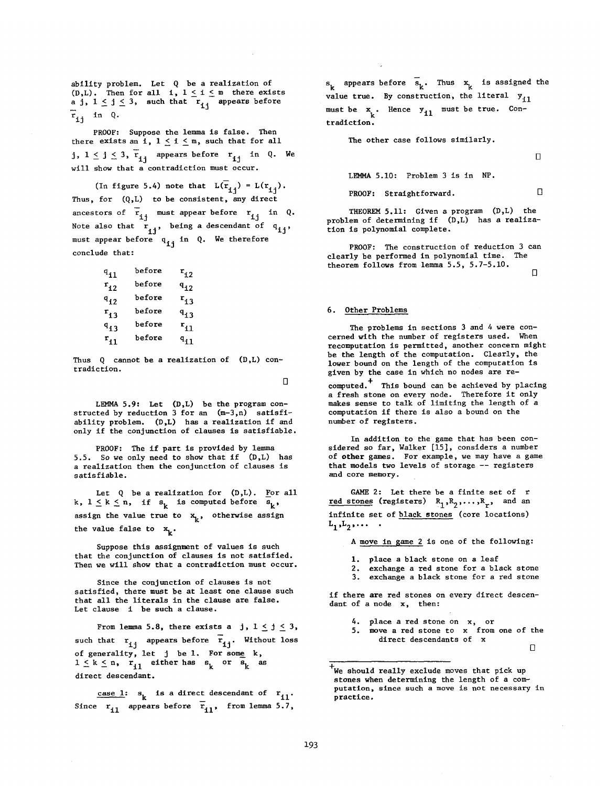ability problem. Let Q be a realization of (D,L). Then for all  $i, 1 \leq i \leq m$  there exists<br>a j,  $1 \leq j \leq 3$ , such that  $r_{i,j}$  appears before PROOF: Suppose the lemma is false. Then  $r_{ii}$  in Q.

PROOF: Suppose the lemma is false. Then there exists an i,  $1 \le i \le m$ , such that for all<br>j,  $1 \le j \le 3$ ,  $\overline{r}_{1j}$  appears before  $r_{1j}$  in Q. We will show that a contradiction must occur.

Thus, for  $\mathcal{O}(\mathcal{O}_\mathcal{A})$  to be consistent, any direction of  $\mathcal{O}_\mathcal{A}$ (In figure 5.4) note that  $L(\overline{r}_{ij}) = L(r_{ij})$ .<br>Thus, for (Q,L) to be consistent, any direct  $N_{\rm eff}$  , being a descendant of  $\epsilon$  , being a descendant of  $\epsilon$  $\mathbf{u}$  ij in A. We therefore  $\mathbf{u}$ Note also that  $\begin{bmatrix} x \\ y \end{bmatrix}$ , being a descendant of  $q_{1j}$ ,<br>must appear before  $q_{1j}$  in Q. We therefore conclude that:

| $\mathfrak{q}_{11}$ | before | $\mathbf{r_{i2}}$  |
|---------------------|--------|--------------------|
| $r_{12}$            | before | $\mathbf{q}_{12}$  |
| $a_{12}$            | before | $r_{13}$           |
| $r_{13}$            | before | $\mathbf{q}_{1,3}$ |
| $\mathbf{^{q}13}$   | before | $\mathbf{r_{11}}$  |
| $r_{11}$            | before | $q_{11}$           |
|                     |        |                    |

Thus 0 cannot be a realization of  $(D,L)$  contradiction.

LEMMA 5.9: Let (D,L) be the program con-

 $I$   $\mathbb{R}$  DMMA E  $\theta$  a  $I_{\text{eff}}$  (D, I) has the problem con- $\alpha$  is the conjunction of  $\beta$  for  $\alpha$  is  $\alpha$   $\beta$   $\alpha$ ) as satisfies problem is part is part is problem by the interest of the interest of the interest of the interest of the inter  $\frac{1}{2}$ , so we only need to show that if  $\frac{1}{2}$ 

PROOF: The if part is provided by lemma 5.5. So we only need to show that if  $(D,L)$  has a realization then the conjunction of clauses is<br>satisfiable.  $k$ , if  $k$  is computed before  $k$  is computed by  $k$  is computed by  $k$ , if  $k$  is computed by  $k$ 

Let Q be a realization for (D,L). <u>F</u>or al  $t = -x - y$  for  $k$ .  $\frac{1}{2}$  such that as such as such as such as such as such as such assignment of values is such as such as such as  $\frac{1}{2}$ that the conjunction of  $\mathbf{k}$ 

Suppose this assignment of values is such since the conjunction of continues is not considered.<br>Since the continues is not considered as a continued as satisfied, there exists a consideration and clause

Since the conjunction of clauses is not satisfied, there must be at least one clause such that all the literals in the clause are false.<br>Let clause  $i$  be such a clause.

 $\frac{1}{2}$  and  $\frac{1}{2}$  are I. For some  $\frac{1}{2}$  and  $\frac{1}{2}$  i. For some  $\frac{1}{2}$  and  $\frac{1}{2}$  and  $\frac{1}{2}$  and  $\frac{1}{2}$  and  $\frac{1}{2}$  and  $\frac{1}{2}$  and  $\frac{1}{2}$  and  $\frac{1}{2}$  and  $\frac{1}{2}$  and  $\frac{1}{2}$  and  $\frac{1$ ich that  $r_{i,i}$  appears before  $r_{i,i}$ , without : generality, let case i: s k is a direct descendant of ril. The direct descendant of ril. The direct descendant of ril. The direct of ril. The direct descendant of ril. The direct of ril. The direct of ril. The direct of ril. The direct of

Since  $r_{i1}$  appears before  $\bar{r}_{i1}$ , from lemma 5.7,

value true. By construction, the literal ylles with the literal ylles  $\mathcal{L}_\mathbf{X}$  $k$  k. Hence  $k$  k. Hence  $k$  $T_{\rm tot}$  other case follows similarly.

before Sk" Thus x k is assigned the S k appears to the S k appears to the S k appears to the S k appears to the

The other case follows similarly.

 $\Box$ 

LEMMA 5.10: Problem 3 is in NP.

**PROOF:** Straightforward. 
$$
\Box
$$

THEOREM 5.11: Given a program  $(D,L)$  the PROOF: The construction of reduction 3 can clearly be performed in polynomial time.

PROOF: The construction of reduction 3 can clearly be performed in polynomial time. The theorem follows from lemma 5.5, 5.7-5.10.  $\Box$ 

#### 6. Other Problems cerned with the number of registers used. When  $\alpha$

The problems in sections 3 and 4 were concerned with the number of registers used. When recomputation is permitted, another concern might be the length of the computation. Clearly, the lower bound on the length of the computation is given by the case in which no nodes are re-

computed.<sup>+</sup> This bound can be achieved by placing a fresh stone on every node. Therefore it only makes sense to talk of limiting the length of a In addition to the game that has been considered so far, Walker (15), considered a number of the constant of the constant of the constant of the constant of the constant of the constant of the constant of the constant of the constant of the constant of the consta

In addition to the game that has been con**the december to the game -- registers of storage --** $\overline{\phantom{a}}$  at  $\overline{\phantom{a}}$ that models two levels of storage  $-$  registers and core memory. red stones (registers) RI,R 2 .... ,Rr, and an

GAME 2: Let there be a finite set of  $r$ red stones (registers)  $R_1, R_2, \ldots, R_r$ , and an infinite set of <u>black stones</u> (core locations)<br> $L_1, L_2, \ldots$ .

> i. place a black stone on a leaf  $\frac{2.00 \times 10^{-6} \text{ m/s}}{2.00 \times 10^{-6} \text{ m/s}}$

1. place a black stone on a leaf

- if there are red stones on a red stones.
- $\ddotsc$  of  $\ddotsc$  and  $\ddotsc$  and  $\ddotsc$

if there are red stones on every direct descendant of a node  $x$ , then:

- direct descendants of x
- $\overline{\phantom{0}}$ direct descendants of x

 $\pm$  We should really exclude moves that pick up that pick up that pick up that pick up that pick up that pick up that pick up that  $\Box$ 

 $^{\texttt{+}}$ We should really exclude moves that pick up stones when determining the length of a computation, since such a move is not necessary in practice.

stones when determining the length of a com-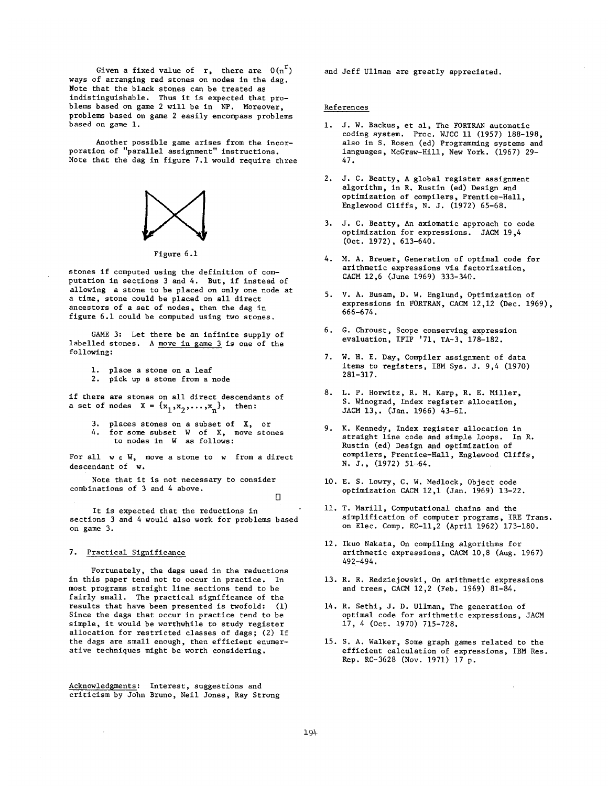Given a fixed value of  $r$ , there are  $0(n^r)$ ways of arranging red stones on nodes in the dag. Note that the black stones can be treated as indistinguishable. Thus it is expected that problems based on game 2 will be in NP. Moreover, problems based on game 2 easily encompass problems based on game 1.

Another possible game arises from the incor-<br>poration of "parallel assignment" instructions. Note that the dag in figure 7.1 would require three



Figure  $6.1$ 

stones if computed using the definition of computation in sections 3 and 4. But, if instead of allowing a stone to be placed on only one node at a time, stone could be placed on all direct<br>ancestors of a set of nodes, then the dag in figure 6.1 could be computed using two stones.

GAME 3: Let there be an infinite supply of labelled stones. A move in game 3 is one of the following:

1. place a stone on a leaf

2. pick up a stone from a node

if there are stones on all direct descendants of a set of nodes  $X = \{x_1, x_2, \ldots, x_n\}$ , then:  $4.4.$  for some subset W of  $\mathcal{A}$  , move stones to  $\mathcal{A}$ 

3. places stones on a subset of  $X$ , or 4. for some subset W of X, move stones to nodes in  $W$  as follows:

For all  $w \in W$ , move a stone to w from a direct descendant of w.

Note that it is not necessary to consider combinations of 3 and 4 above.

sections 3 and 4 would also work for problems based

It is expected that the reductions in sections 3 and 4 would also work for problems based 7. Practical Sisnificance

## 7. Practical Significance

Fortunately, the dags used in the reductions in this paper tend not to occur in practice. In most programs straight line sections tend to be fairly small. The practical significance of the results that have been presented is twofold:  $(1)$ Since the dags that occur in practice tend to be simple, it would be worthwhile to study register allocation for restricted classes of dags; (2) If the dags are small enough, then efficient enumerative techniques might be worth considering.

Acknowledgments: Interest, suggestions and criticism by John Bruno, Neil Jones, Ray Strong and Jeff Ullman are greatly appreciated.

# References

- 1. J. W. Backus, et al, The FORTRAN automatic coding system. Proc. WJCC 11 (1957) 188-198. also in S. Rosen (ed) Programming systems and languages, McGraw-Hill, New York. (1967) 29- $2.47.$ 
	- 2. J. C. Beatty, A global register assignment algorithm, in R. Rustin (ed) Design and optimization of compilers, Prentice-Hall, Englewood Cliffs, N. J. (1972) 65-68.
	- 3. J. C. Beatty, An axiomatic approach to code optimization for expressions. JACM 19,4  $(0ct. 1972), 613-640.$
	- 4. M. A. Breuer, Generation of optimal code for arithmetic expressions via factorization, CACM 12,6 (June 1969) 333-340.
	- 5. V. A. Busam, D. W. Englund, Optimization of expressions in FORTRAN, CACM 12,12 (Dec. 1969), 666-674.
	- 6. G. Chroust, Scope conserving expression evaluation, IFIP  $'71$ , TA-3, 178-182.
	- 7. W. H. E. Day, Compiler assignment of data items to registers, IBM Sys. J. 9,4 (1970) 281-317.
	- 8. L. P. Horwitz, R. M. Karp, R. E. Miller, S. Winograd, Index register allocation, JACM 13,. (Jan. 1966) 43-61.
	- 9. K. Kennedy, Index register allocation in straight line code and simple loops. In R. Rustin (ed) Design and optimization of compilers, Prentice-Hall, Englewood Cliffs, N. J., (1972) 51-64.
	- 10. E. S. Lowry, C. W. Medlock, Object code optimization CACM 12,1 (Jan. 1969) 13-22.
	- 11. T. Marill, Computational chains and the simplification of computer programs, IRE Trans. on Elec. Comp. EC-11,2 (April 1962) 173-180.
	- 12. Ikuo Nakata, On compiling algorithms for arithmetic expressions, CACM 10,8 (Aug. 1967) 492-494.
	- 13. R. R. Redziejowski, On arithmetic expressions and trees, CACM 12,2 (Feb. 1969) 81-84.
	- . R. Sethi, J. D. Ullman, 1 optimal code for arithmetic expressions, JACM 17, 4 (Oct. 1970) 715-728.
	- 15. S. A. Walker, Some graph games related to the efficient calculation of expressions, IBM Res. Rep. RC-3628 (Nov. 1971) 17 p.